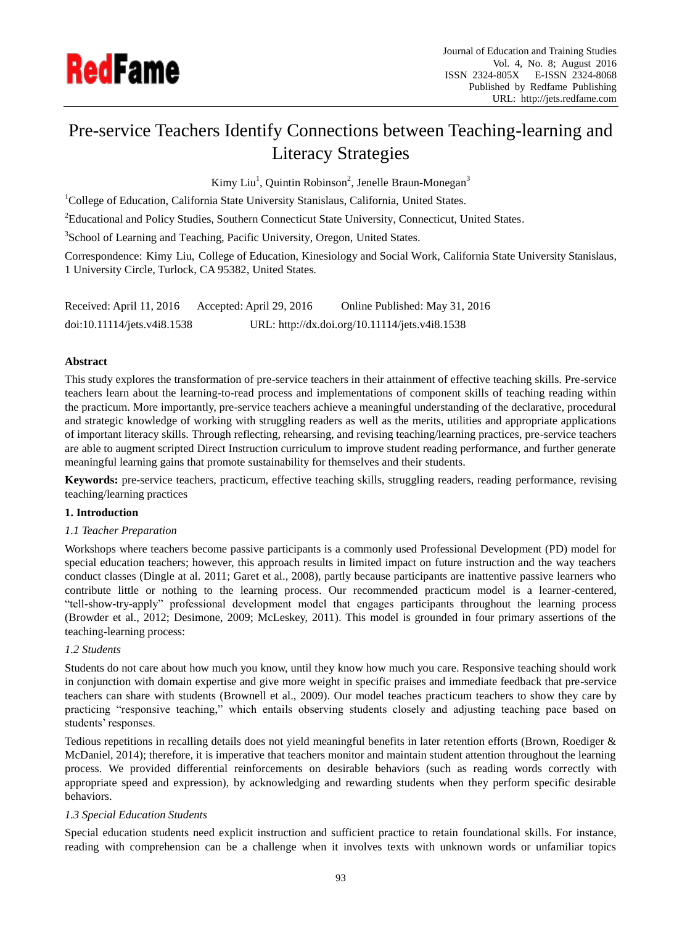

# Pre-service Teachers Identify Connections between Teaching-learning and Literacy Strategies

Kimy Liu<sup>1</sup>, Quintin Robinson<sup>2</sup>, Jenelle Braun-Monegan<sup>3</sup>

<sup>1</sup>College of Education, California State University Stanislaus, California, United States.

<sup>2</sup>Educational and Policy Studies, Southern Connecticut State University, Connecticut, United States.

<sup>3</sup>School of Learning and Teaching, Pacific University, Oregon, United States.

Correspondence: Kimy Liu, College of Education, Kinesiology and Social Work, California State University Stanislaus, 1 University Circle, Turlock, CA 95382, United States.

| Received: April 11, 2016    | Accepted: April 29, 2016 | Online Published: May 31, 2016                 |
|-----------------------------|--------------------------|------------------------------------------------|
| doi:10.11114/jets.v4i8.1538 |                          | URL: http://dx.doi.org/10.11114/jets.v4i8.1538 |

# **Abstract**

This study explores the transformation of pre-service teachers in their attainment of effective teaching skills. Pre-service teachers learn about the learning-to-read process and implementations of component skills of teaching reading within the practicum. More importantly, pre-service teachers achieve a meaningful understanding of the declarative, procedural and strategic knowledge of working with struggling readers as well as the merits, utilities and appropriate applications of important literacy skills. Through reflecting, rehearsing, and revising teaching/learning practices, pre-service teachers are able to augment scripted Direct Instruction curriculum to improve student reading performance, and further generate meaningful learning gains that promote sustainability for themselves and their students.

**Keywords:** pre-service teachers, practicum, effective teaching skills, struggling readers, reading performance, revising teaching/learning practices

# **1. Introduction**

## *1.1 Teacher Preparation*

Workshops where teachers become passive participants is a commonly used Professional Development (PD) model for special education teachers; however, this approach results in limited impact on future instruction and the way teachers conduct classes (Dingle at al. 2011; Garet et al., 2008), partly because participants are inattentive passive learners who contribute little or nothing to the learning process. Our recommended practicum model is a learner-centered, "tell-show-try-apply" professional development model that engages participants throughout the learning process (Browder et al., 2012; Desimone, 2009; McLeskey, 2011). This model is grounded in four primary assertions of the teaching-learning process:

## *1.2 Students*

Students do not care about how much you know, until they know how much you care. Responsive teaching should work in conjunction with domain expertise and give more weight in specific praises and immediate feedback that pre-service teachers can share with students (Brownell et al., 2009). Our model teaches practicum teachers to show they care by practicing "responsive teaching," which entails observing students closely and adjusting teaching pace based on students' responses.

Tedious repetitions in recalling details does not yield meaningful benefits in later retention efforts (Brown, Roediger & McDaniel, 2014); therefore, it is imperative that teachers monitor and maintain student attention throughout the learning process. We provided differential reinforcements on desirable behaviors (such as reading words correctly with appropriate speed and expression), by acknowledging and rewarding students when they perform specific desirable behaviors.

# *1.3 Special Education Students*

Special education students need explicit instruction and sufficient practice to retain foundational skills. For instance, reading with comprehension can be a challenge when it involves texts with unknown words or unfamiliar topics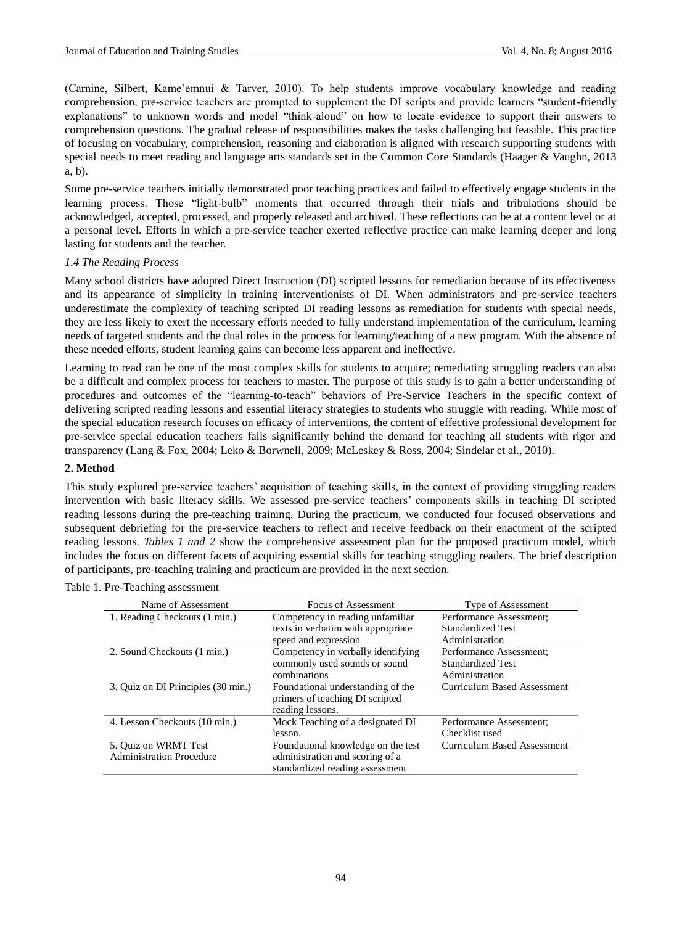(Carnine, Silbert, Kame'emnui & Tarver, 2010). To help students improve vocabulary knowledge and reading comprehension, pre-service teachers are prompted to supplement the DI scripts and provide learners "student-friendly explanations" to unknown words and model "think-aloud" on how to locate evidence to support their answers to comprehension questions. The gradual release of responsibilities makes the tasks challenging but feasible. This practice of focusing on vocabulary, comprehension, reasoning and elaboration is aligned with research supporting students with special needs to meet reading and language arts standards set in the Common Core Standards (Haager & Vaughn, 2013 a, b).

Some pre-service teachers initially demonstrated poor teaching practices and failed to effectively engage students in the learning process. Those "light-bulb" moments that occurred through their trials and tribulations should be acknowledged, accepted, processed, and properly released and archived. These reflections can be at a content level or at a personal level. Efforts in which a pre-service teacher exerted reflective practice can make learning deeper and long lasting for students and the teacher.

#### *1.4 The Reading Process*

Many school districts have adopted Direct Instruction (DI) scripted lessons for remediation because of its effectiveness and its appearance of simplicity in training interventionists of DI. When administrators and pre-service teachers underestimate the complexity of teaching scripted DI reading lessons as remediation for students with special needs, they are less likely to exert the necessary efforts needed to fully understand implementation of the curriculum, learning needs of targeted students and the dual roles in the process for learning/teaching of a new program. With the absence of these needed efforts, student learning gains can become less apparent and ineffective.

Learning to read can be one of the most complex skills for students to acquire; remediating struggling readers can also be a difficult and complex process for teachers to master. The purpose of this study is to gain a better understanding of procedures and outcomes of the "learning-to-teach" behaviors of Pre-Service Teachers in the specific context of delivering scripted reading lessons and essential literacy strategies to students who struggle with reading. While most of the special education research focuses on efficacy of interventions, the content of effective professional development for pre-service special education teachers falls significantly behind the demand for teaching all students with rigor and transparency (Lang & Fox, 2004; Leko & Borwnell, 2009; McLeskey & Ross, 2004; Sindelar et al., 2010).

#### **2. Method**

This study explored pre-service teachers' acquisition of teaching skills, in the context of providing struggling readers intervention with basic literacy skills. We assessed pre-service teachers' components skills in teaching DI scripted reading lessons during the pre-teaching training. During the practicum, we conducted four focused observations and subsequent debriefing for the pre-service teachers to reflect and receive feedback on their enactment of the scripted reading lessons. *Tables 1 and 2* show the comprehensive assessment plan for the proposed practicum model, which includes the focus on different facets of acquiring essential skills for teaching struggling readers. The brief description of participants, pre-teaching training and practicum are provided in the next section.

| Name of Assessment                 | Focus of Assessment                | Type of Assessment          |
|------------------------------------|------------------------------------|-----------------------------|
| 1. Reading Checkouts (1 min.)      | Competency in reading unfamiliar   | Performance Assessment;     |
|                                    | texts in verbatim with appropriate | Standardized Test           |
|                                    | speed and expression               | Administration              |
| 2. Sound Checkouts (1 min.)        | Competency in verbally identifying | Performance Assessment;     |
|                                    | commonly used sounds or sound      | <b>Standardized Test</b>    |
|                                    | combinations                       | Administration              |
| 3. Quiz on DI Principles (30 min.) | Foundational understanding of the  | Curriculum Based Assessment |
|                                    | primers of teaching DI scripted    |                             |
|                                    | reading lessons.                   |                             |
| 4. Lesson Checkouts (10 min.)      | Mock Teaching of a designated DI   | Performance Assessment;     |
|                                    | lesson.                            | Checklist used              |
| 5. Quiz on WRMT Test               | Foundational knowledge on the test | Curriculum Based Assessment |
| <b>Administration Procedure</b>    | administration and scoring of a    |                             |
|                                    | standardized reading assessment    |                             |

Table 1. Pre-Teaching assessment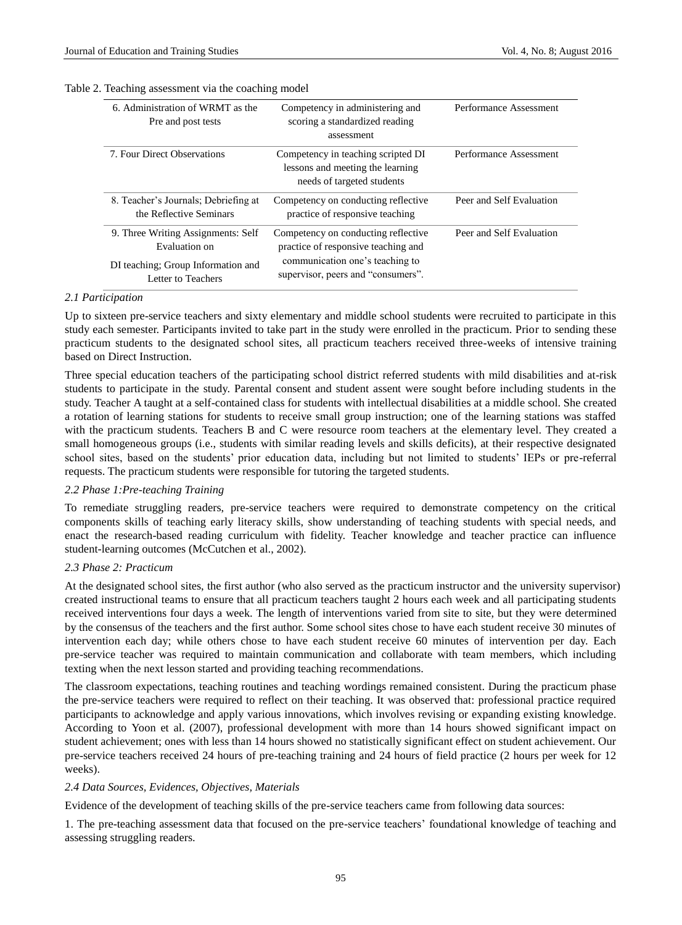#### Table 2. Teaching assessment via the coaching model

| 6. Administration of WRMT as the<br>Pre and post tests          | Competency in administering and<br>scoring a standardized reading<br>assessment                      | Performance Assessment   |
|-----------------------------------------------------------------|------------------------------------------------------------------------------------------------------|--------------------------|
| 7. Four Direct Observations                                     | Competency in teaching scripted DI<br>lessons and meeting the learning<br>needs of targeted students | Performance Assessment   |
| 8. Teacher's Journals: Debriefing at<br>the Reflective Seminars | Competency on conducting reflective<br>practice of responsive teaching                               | Peer and Self Evaluation |
| 9. Three Writing Assignments: Self<br>Evaluation on             | Competency on conducting reflective<br>practice of responsive teaching and                           | Peer and Self Evaluation |
| DI teaching; Group Information and<br>Letter to Teachers        | communication one's teaching to<br>supervisor, peers and "consumers".                                |                          |

#### *2.1 Participation*

Up to sixteen pre-service teachers and sixty elementary and middle school students were recruited to participate in this study each semester. Participants invited to take part in the study were enrolled in the practicum. Prior to sending these practicum students to the designated school sites, all practicum teachers received three-weeks of intensive training based on Direct Instruction.

Three special education teachers of the participating school district referred students with mild disabilities and at-risk students to participate in the study. Parental consent and student assent were sought before including students in the study. Teacher A taught at a self-contained class for students with intellectual disabilities at a middle school. She created a rotation of learning stations for students to receive small group instruction; one of the learning stations was staffed with the practicum students. Teachers B and C were resource room teachers at the elementary level. They created a small homogeneous groups (i.e., students with similar reading levels and skills deficits), at their respective designated school sites, based on the students' prior education data, including but not limited to students' IEPs or pre-referral requests. The practicum students were responsible for tutoring the targeted students.

## *2.2 Phase 1:Pre-teaching Training*

To remediate struggling readers, pre-service teachers were required to demonstrate competency on the critical components skills of teaching early literacy skills, show understanding of teaching students with special needs, and enact the research-based reading curriculum with fidelity. Teacher knowledge and teacher practice can influence student-learning outcomes (McCutchen et al., 2002).

## *2.3 Phase 2: Practicum*

At the designated school sites, the first author (who also served as the practicum instructor and the university supervisor) created instructional teams to ensure that all practicum teachers taught 2 hours each week and all participating students received interventions four days a week. The length of interventions varied from site to site, but they were determined by the consensus of the teachers and the first author. Some school sites chose to have each student receive 30 minutes of intervention each day; while others chose to have each student receive 60 minutes of intervention per day. Each pre-service teacher was required to maintain communication and collaborate with team members, which including texting when the next lesson started and providing teaching recommendations.

The classroom expectations, teaching routines and teaching wordings remained consistent. During the practicum phase the pre-service teachers were required to reflect on their teaching. It was observed that: professional practice required participants to acknowledge and apply various innovations, which involves revising or expanding existing knowledge. According to Yoon et al. (2007), professional development with more than 14 hours showed significant impact on student achievement; ones with less than 14 hours showed no statistically significant effect on student achievement. Our pre-service teachers received 24 hours of pre-teaching training and 24 hours of field practice (2 hours per week for 12 weeks).

#### *2.4 Data Sources, Evidences, Objectives, Materials*

Evidence of the development of teaching skills of the pre-service teachers came from following data sources:

1. The pre-teaching assessment data that focused on the pre-service teachers' foundational knowledge of teaching and assessing struggling readers.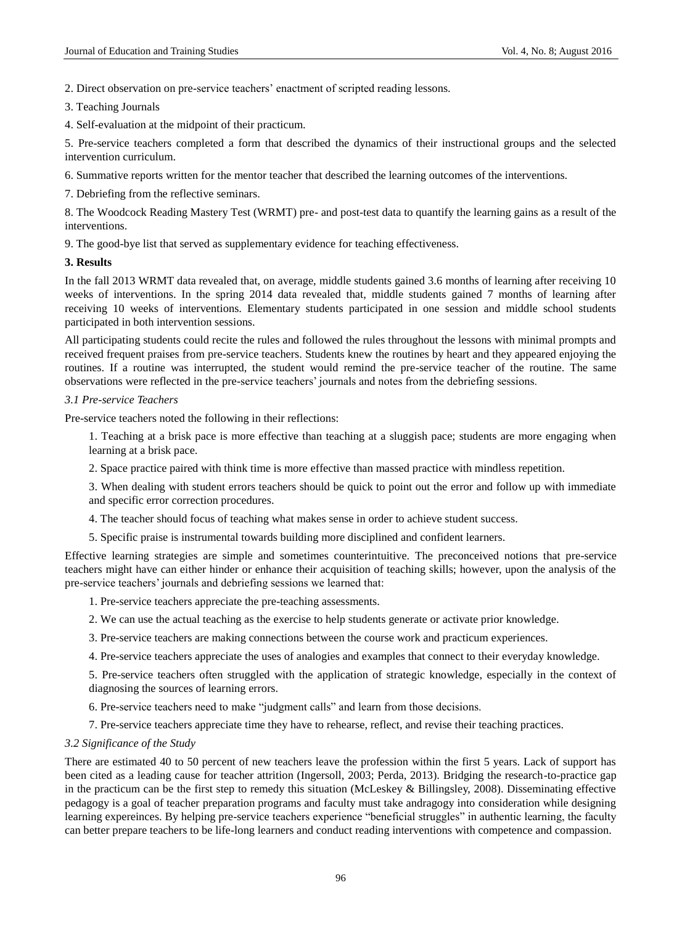2. Direct observation on pre-service teachers' enactment of scripted reading lessons.

3. Teaching Journals

4. Self-evaluation at the midpoint of their practicum.

5. Pre-service teachers completed a form that described the dynamics of their instructional groups and the selected intervention curriculum.

6. Summative reports written for the mentor teacher that described the learning outcomes of the interventions.

7. Debriefing from the reflective seminars.

8. The Woodcock Reading Mastery Test (WRMT) pre- and post-test data to quantify the learning gains as a result of the interventions.

9. The good-bye list that served as supplementary evidence for teaching effectiveness.

## **3. Results**

In the fall 2013 WRMT data revealed that, on average, middle students gained 3.6 months of learning after receiving 10 weeks of interventions. In the spring 2014 data revealed that, middle students gained 7 months of learning after receiving 10 weeks of interventions. Elementary students participated in one session and middle school students participated in both intervention sessions.

All participating students could recite the rules and followed the rules throughout the lessons with minimal prompts and received frequent praises from pre-service teachers. Students knew the routines by heart and they appeared enjoying the routines. If a routine was interrupted, the student would remind the pre-service teacher of the routine. The same observations were reflected in the pre-service teachers' journals and notes from the debriefing sessions.

## *3.1 Pre-service Teachers*

Pre-service teachers noted the following in their reflections:

1. Teaching at a brisk pace is more effective than teaching at a sluggish pace; students are more engaging when learning at a brisk pace.

2. Space practice paired with think time is more effective than massed practice with mindless repetition.

3. When dealing with student errors teachers should be quick to point out the error and follow up with immediate and specific error correction procedures.

4. The teacher should focus of teaching what makes sense in order to achieve student success.

5. Specific praise is instrumental towards building more disciplined and confident learners.

Effective learning strategies are simple and sometimes counterintuitive. The preconceived notions that pre-service teachers might have can either hinder or enhance their acquisition of teaching skills; however, upon the analysis of the pre-service teachers' journals and debriefing sessions we learned that:

1. Pre-service teachers appreciate the pre-teaching assessments.

2. We can use the actual teaching as the exercise to help students generate or activate prior knowledge.

3. Pre-service teachers are making connections between the course work and practicum experiences.

4. Pre-service teachers appreciate the uses of analogies and examples that connect to their everyday knowledge.

5. Pre-service teachers often struggled with the application of strategic knowledge, especially in the context of diagnosing the sources of learning errors.

6. Pre-service teachers need to make "judgment calls" and learn from those decisions.

7. Pre-service teachers appreciate time they have to rehearse, reflect, and revise their teaching practices.

## *3.2 Significance of the Study*

There are estimated 40 to 50 percent of new teachers leave the profession within the first 5 years. Lack of support has been cited as a leading cause for teacher attrition (Ingersoll, 2003; Perda, 2013). Bridging the research-to-practice gap in the practicum can be the first step to remedy this situation (McLeskey & Billingsley, 2008). Disseminating effective pedagogy is a goal of teacher preparation programs and faculty must take andragogy into consideration while designing learning expereinces. By helping pre-service teachers experience "beneficial struggles" in authentic learning, the faculty can better prepare teachers to be life-long learners and conduct reading interventions with competence and compassion.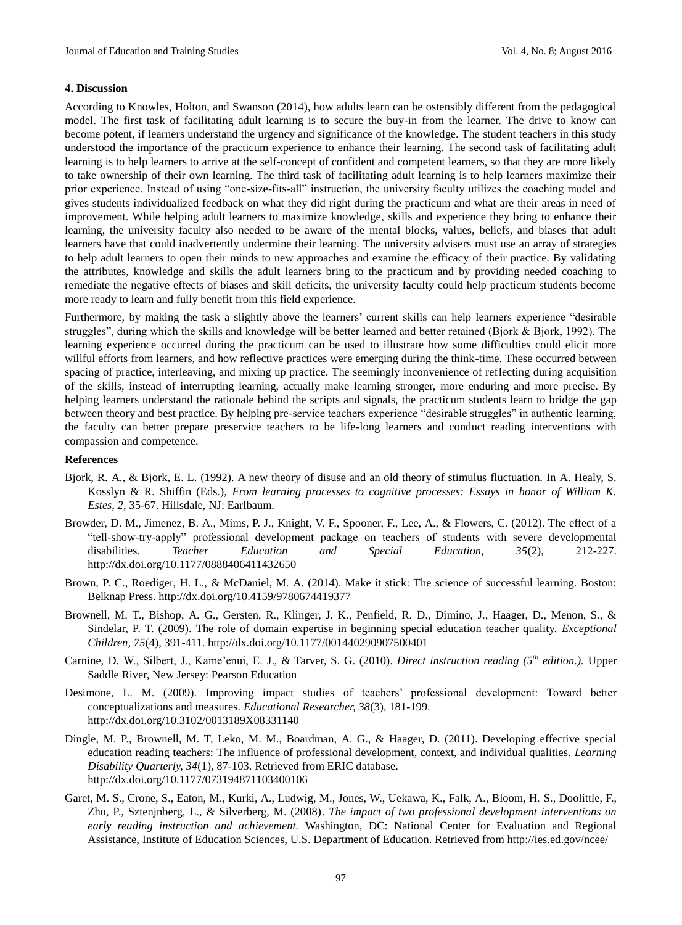#### **4. Discussion**

According to Knowles, Holton, and Swanson (2014), how adults learn can be ostensibly different from the pedagogical model. The first task of facilitating adult learning is to secure the buy-in from the learner. The drive to know can become potent, if learners understand the urgency and significance of the knowledge. The student teachers in this study understood the importance of the practicum experience to enhance their learning. The second task of facilitating adult learning is to help learners to arrive at the self-concept of confident and competent learners, so that they are more likely to take ownership of their own learning. The third task of facilitating adult learning is to help learners maximize their prior experience. Instead of using "one-size-fits-all" instruction, the university faculty utilizes the coaching model and gives students individualized feedback on what they did right during the practicum and what are their areas in need of improvement. While helping adult learners to maximize knowledge, skills and experience they bring to enhance their learning, the university faculty also needed to be aware of the mental blocks, values, beliefs, and biases that adult learners have that could inadvertently undermine their learning. The university advisers must use an array of strategies to help adult learners to open their minds to new approaches and examine the efficacy of their practice. By validating the attributes, knowledge and skills the adult learners bring to the practicum and by providing needed coaching to remediate the negative effects of biases and skill deficits, the university faculty could help practicum students become more ready to learn and fully benefit from this field experience.

Furthermore, by making the task a slightly above the learners' current skills can help learners experience "desirable struggles", during which the skills and knowledge will be better learned and better retained (Bjork & Bjork, 1992). The learning experience occurred during the practicum can be used to illustrate how some difficulties could elicit more willful efforts from learners, and how reflective practices were emerging during the think-time. These occurred between spacing of practice, interleaving, and mixing up practice. The seemingly inconvenience of reflecting during acquisition of the skills, instead of interrupting learning, actually make learning stronger, more enduring and more precise. By helping learners understand the rationale behind the scripts and signals, the practicum students learn to bridge the gap between theory and best practice. By helping pre-service teachers experience "desirable struggles" in authentic learning, the faculty can better prepare preservice teachers to be life-long learners and conduct reading interventions with compassion and competence.

## **References**

- Bjork, R. A., & Bjork, E. L. (1992). A new theory of disuse and an old theory of stimulus fluctuation. In A. Healy, S. Kosslyn & R. Shiffin (Eds.), *From learning processes to cognitive processes: Essays in honor of William K. Estes*, *2*, 35-67. Hillsdale, NJ: Earlbaum.
- Browder, D. M., Jimenez, B. A., Mims, P. J., Knight, V. F., Spooner, F., Lee, A., & Flowers, C. (2012). The effect of a "tell-show-try-apply" professional development package on teachers of students with severe developmental disabilities. *Teacher Education and Special Education, 35*(2), 212-227. <http://dx.doi.org/10.1177/0888406411432650>
- Brown, P. C., Roediger, H. L., & McDaniel, M. A. (2014). Make it stick: The science of successful learning. Boston: Belknap Press[. http://dx.doi.org/10.4159/9780674419377](http://dx.doi.org/10.4159/9780674419377)
- Brownell, M. T., Bishop, A. G., Gersten, R., Klinger, J. K., Penfield, R. D., Dimino, J., Haager, D., Menon, S., & Sindelar, P. T. (2009). The role of domain expertise in beginning special education teacher quality. *Exceptional Children, 75*(4), 391-411[. http://dx.doi.org/10.1177/001440290907500401](http://dx.doi.org/10.1177/001440290907500401)
- Carnine, D. W., Silbert, J., Kame'enui, E. J., & Tarver, S. G. (2010). *Direct instruction reading (5th edition.).* Upper Saddle River, New Jersey: Pearson Education
- Desimone, L. M. (2009). Improving impact studies of teachers' professional development: Toward better conceptualizations and measures. *Educational Researcher, 38*(3), 181-199. <http://dx.doi.org/10.3102/0013189X08331140>
- Dingle, M. P., Brownell, M. T, Leko, M. M., Boardman, A. G., & Haager, D. (2011). Developing effective special education reading teachers: The influence of professional development, context, and individual qualities. *Learning Disability Quarterly, 34*(1), 87-103. Retrieved from ERIC database. <http://dx.doi.org/10.1177/073194871103400106>
- Garet, M. S., Crone, S., Eaton, M., Kurki, A., Ludwig, M., Jones, W., Uekawa, K., Falk, A., Bloom, H. S., Doolittle, F., Zhu, P., Sztenjnberg, L., & Silverberg, M. (2008). *The impact of two professional development interventions on early reading instruction and achievement.* Washington, DC: National Center for Evaluation and Regional Assistance, Institute of Education Sciences, U.S. Department of Education. Retrieved from http://ies.ed.gov/ncee/